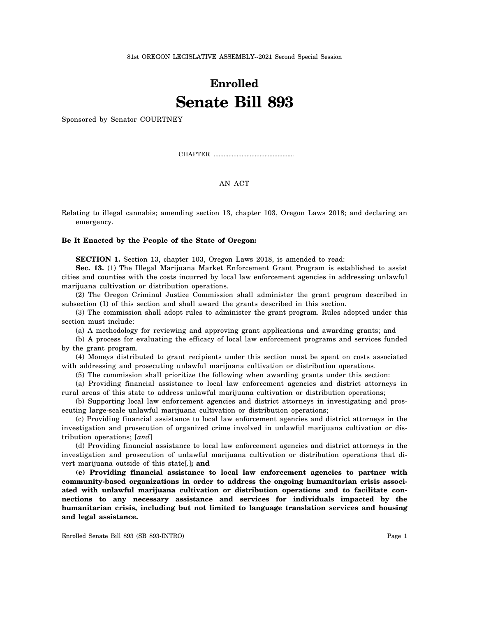81st OREGON LEGISLATIVE ASSEMBLY--2021 Second Special Session

## **Enrolled Senate Bill 893**

Sponsored by Senator COURTNEY

CHAPTER .................................................

## AN ACT

Relating to illegal cannabis; amending section 13, chapter 103, Oregon Laws 2018; and declaring an emergency.

## **Be It Enacted by the People of the State of Oregon:**

**SECTION 1.** Section 13, chapter 103, Oregon Laws 2018, is amended to read:

**Sec. 13.** (1) The Illegal Marijuana Market Enforcement Grant Program is established to assist cities and counties with the costs incurred by local law enforcement agencies in addressing unlawful marijuana cultivation or distribution operations.

(2) The Oregon Criminal Justice Commission shall administer the grant program described in subsection (1) of this section and shall award the grants described in this section.

(3) The commission shall adopt rules to administer the grant program. Rules adopted under this section must include:

(a) A methodology for reviewing and approving grant applications and awarding grants; and

(b) A process for evaluating the efficacy of local law enforcement programs and services funded by the grant program.

(4) Moneys distributed to grant recipients under this section must be spent on costs associated with addressing and prosecuting unlawful marijuana cultivation or distribution operations.

(5) The commission shall prioritize the following when awarding grants under this section:

(a) Providing financial assistance to local law enforcement agencies and district attorneys in rural areas of this state to address unlawful marijuana cultivation or distribution operations;

(b) Supporting local law enforcement agencies and district attorneys in investigating and prosecuting large-scale unlawful marijuana cultivation or distribution operations;

(c) Providing financial assistance to local law enforcement agencies and district attorneys in the investigation and prosecution of organized crime involved in unlawful marijuana cultivation or distribution operations; [*and*]

(d) Providing financial assistance to local law enforcement agencies and district attorneys in the investigation and prosecution of unlawful marijuana cultivation or distribution operations that divert marijuana outside of this state[*.*]**; and**

**(e) Providing financial assistance to local law enforcement agencies to partner with community-based organizations in order to address the ongoing humanitarian crisis associated with unlawful marijuana cultivation or distribution operations and to facilitate connections to any necessary assistance and services for individuals impacted by the humanitarian crisis, including but not limited to language translation services and housing and legal assistance.**